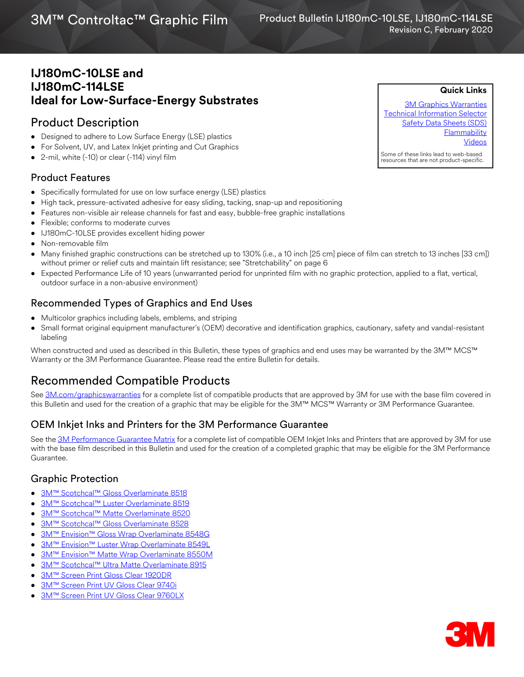# 3M™ Controltac™ Graphic Film

## **IJ180mC-10LSE and IJ180mC-114LSE Ideal for Low-Surface-Energy Substrates**

## Product Description

- Designed to adhere to Low Surface Energy (LSE) plastics
- For Solvent, UV, and Latex Inkjet printing and Cut Graphics
- 2-mil, white (-10) or clear (-114) vinyl film

## Product Features

- Specifically formulated for use on low surface energy (LSE) plastics
- High tack, pressure-activated adhesive for easy sliding, tacking, snap-up and repositioning
- Features non-visible air release channels for fast and easy, bubble-free graphic installations
- Flexible; conforms to moderate curves
- IJ180mC-10LSE provides excellent hiding power
- Non-removable film
- Many finished graphic constructions can be stretched up to 130% (i.e., a 10 inch [25 cm] piece of film can stretch to 13 inches [33 cm]) without primer or relief cuts and maintain lift resistance; see "Stretchability" on page 6
- Expected Performance Life of 10 years (unwarranted period for unprinted film with no graphic protection, applied to a flat, vertical, outdoor surface in a non-abusive environment)

## Recommended Types of Graphics and End Uses

- Multicolor graphics including labels, emblems, and striping
- Small format original equipment manufacturer's (OEM) decorative and identification graphics, cautionary, safety and vandal-resistant labeling

When constructed and used as described in this Bulletin, these types of graphics and end uses may be warranted by the 3M™ MCS™ Warranty or the 3M Performance Guarantee. Please read the entire Bulletin for details.

## Recommended Compatible Products

See [3M.com/graphicswarranties](www.3m.com/graphicswarranties) for a complete list of compatible products that are approved by 3M for use with the base film covered in this Bulletin and used for the creation of a graphic that may be eligible for the 3M™ MCS™ Warranty or 3M Performance Guarantee.

## OEM Inkjet Inks and Printers for the 3M Performance Guarantee

See the [3M Performance Guarantee Matrix](http://multimedia.3m.com/mws/media/443364O/pg-printer-ink-film-linked-warranty-matrix.pdf?fn=PG%20Warranty%20Matrix.pdf) for a complete list of compatible OEM Inkjet Inks and Printers that are approved by 3M for use with the base film described in this Bulletin and used for the creation of a completed graphic that may be eligible for the 3M Performance Guarantee.

#### Graphic Protection

- [3M™ Scotchcal™ Gloss Overlaminate 8518](http://multimedia.3m.com/mws/media/1095387O/3m-scotchcal-overlaminate-product-bulletin.pdf)
- [3M™ Scotchcal™ Luster Overlaminate 8519](http://multimedia.3m.com/mws/media/1095387O/3m-scotchcal-overlaminate-product-bulletin.pdf)
- [3M™ Scotchcal™ Matte Overlaminate 8520](http://multimedia.3m.com/mws/media/1095387O/3m-scotchcal-overlaminate-product-bulletin.pdf)
- [3M™ Scotchcal™ Gloss Overlaminate 8528](http://multimedia.3m.com/mws/media/558531O/product-bulletin-gp-1.pdf)
- [3M™ Envision™ Gloss Wrap Overlaminate 8548G](http://multimedia.3m.com/mws/media/558531O/product-bulletin-gp-1.pdf)
- [3M™ Envision™ Luster Wrap Overlaminate 8549L](http://multimedia.3m.com/mws/media/558531O/product-bulletin-gp-1.pdf)
- [3M™ Envision™ Matte Wrap Overlaminate 8550M](https://multimedia.3m.com/mws/media/558531O/product-bulletin-gp-1.pdf)
- [3M™ Scotchcal™ Ultra Matte Overlaminate 8915](http://multimedia.3m.com/mws/media/1095387O/3m-scotchcal-overlaminate-product-bulletin.pdf)
- [3M™ Screen Print Gloss Clear 1920DR](http://multimedia.3m.com/mws/media/12348O/1900-solvent-screen-print-ink-line-and-four-color-clears.pdf)
- [3M™ Screen Print UV Gloss Clear 9740i](http://multimedia.3m.com/mws/media/819249O/uv-clear-coats.pdf)
- [3M™ Screen Print UV Gloss Clear 9760LX](http://multimedia.3m.com/mws/media/1069532O/3m-screen-print-uv-gloss-clear-9760lx.pdf)

[3M Graphics Warranties](http://solutions.3m.com/wps/portal/3M/en_US/Graphics/3Mgraphics/ToolsandSupport/Warranties/?WT.mc_id=www.3mgraphics.com/warranties) [Technical Information Selector](http://solutions.3m.com/wps/portal/3M/en_US/Graphics/3Mgraphics/ToolsAndSupport/TechnicalInformation/) [Safety Data Sheets \(SDS\)](http://solutions.3m.com/wps/portal/3M/en_WW/MSDS/Search?gsaAction=msdsSRA) **Flammability** [Videos](http://solutions.3m.com/wps/portal/3M/en_US/Graphics/3Mgraphics/ToolsAndSupport/Videos/)

**Quick Links**

Some of these links lead to web-based resources that are not product-specific.

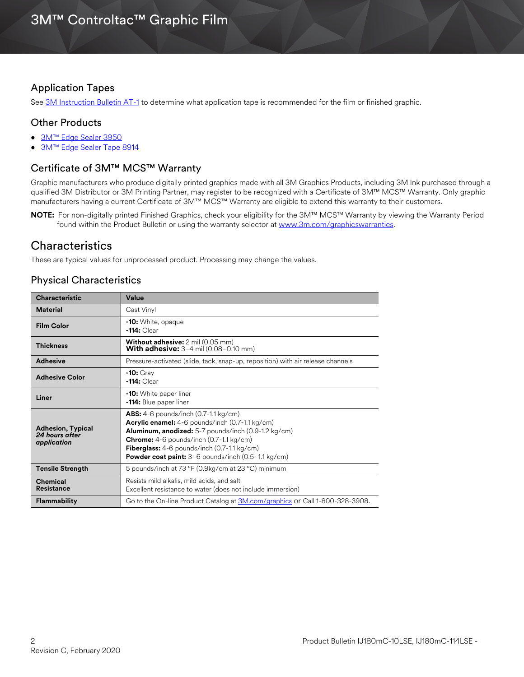### Application Tapes

See [3M Instruction Bulletin AT-1](http://multimedia.3m.com/mws/media/1032943O/instruction-bulletin-at-1-application-tables.pdf) to determine what application tape is recommended for the film or finished graphic.

### Other Products

- [3M™ Edge Sealer 3950](http://multimedia.3m.com/mws/media/114158O/edge-sealer-3950-4150s-and-edge-sealer-tape-8914.pdf)
- [3M™ Edge Sealer Tape 8914](https://multimedia.3m.com/mws/media/114158O/edge-sealer-3950-4150s-and-edge-sealer-tape-8914.pdf)

### Certificate of 3M™ MCS™ Warranty

Graphic manufacturers who produce digitally printed graphics made with all 3M Graphics Products, including 3M Ink purchased through a qualified 3M Distributor or 3M Printing Partner, may register to be recognized with a Certificate of 3M™ MCS™ Warranty. Only graphic manufacturers having a current Certificate of 3M™ MCS™ Warranty are eligible to extend this warranty to their customers.

**NOTE:** For non-digitally printed Finished Graphics, check your eligibility for the 3M™ MCS™ Warranty by viewing the Warranty Period found within the Product Bulletin or using the warranty selector at [www.3m.com/graphicswarranties.](www.3m.com/graphicswarranties)

## **Characteristics**

These are typical values for unprocessed product. Processing may change the values.

## Physical Characteristics

| <b>Characteristic</b>                                     | Value                                                                                                                                                                                                                                                                                                                                                                    |  |
|-----------------------------------------------------------|--------------------------------------------------------------------------------------------------------------------------------------------------------------------------------------------------------------------------------------------------------------------------------------------------------------------------------------------------------------------------|--|
| <b>Material</b>                                           | Cast Vinyl                                                                                                                                                                                                                                                                                                                                                               |  |
| <b>Film Color</b>                                         | -10: White, opaque<br>$-114:$ Clear                                                                                                                                                                                                                                                                                                                                      |  |
| <b>Thickness</b>                                          | <b>Without adhesive:</b> 2 mil (0.05 mm)<br><b>With adhesive:</b> $3-4$ mil $(0.08-0.10$ mm)                                                                                                                                                                                                                                                                             |  |
| <b>Adhesive</b>                                           | Pressure-activated (slide, tack, snap-up, reposition) with air release channels                                                                                                                                                                                                                                                                                          |  |
| <b>Adhesive Color</b>                                     | $-10:$ Gray<br>$-114:$ Clear                                                                                                                                                                                                                                                                                                                                             |  |
| Liner                                                     | <b>-10:</b> White paper liner<br><b>-114:</b> Blue paper liner                                                                                                                                                                                                                                                                                                           |  |
| <b>Adhesion, Typical</b><br>24 hours after<br>application | <b>ABS:</b> 4-6 pounds/inch $(0.7-1.1 \text{ kg/cm})$<br>Acrylic enamel: 4-6 pounds/inch (0.7-1.1 kg/cm)<br>Aluminum, anodized: 5-7 pounds/inch (0.9-1.2 kg/cm)<br><b>Chrome:</b> $4-6$ pounds/inch $(0.7-1.1 \text{ kg/cm})$<br><b>Fiberglass:</b> $4-6$ pounds/inch $(0.7-1.1 \text{ kg/cm})$<br><b>Powder coat paint:</b> $3-6$ pounds/inch $(0.5-1.1 \text{ kg/cm})$ |  |
| <b>Tensile Strength</b>                                   | 5 pounds/inch at 73 °F (0.9kg/cm at 23 °C) minimum                                                                                                                                                                                                                                                                                                                       |  |
| <b>Chemical</b><br><b>Resistance</b>                      | Resists mild alkalis, mild acids, and salt<br>Excellent resistance to water (does not include immersion)                                                                                                                                                                                                                                                                 |  |
| <b>Flammability</b>                                       | Go to the On-line Product Catalog at 3M.com/graphics or Call 1-800-328-3908.                                                                                                                                                                                                                                                                                             |  |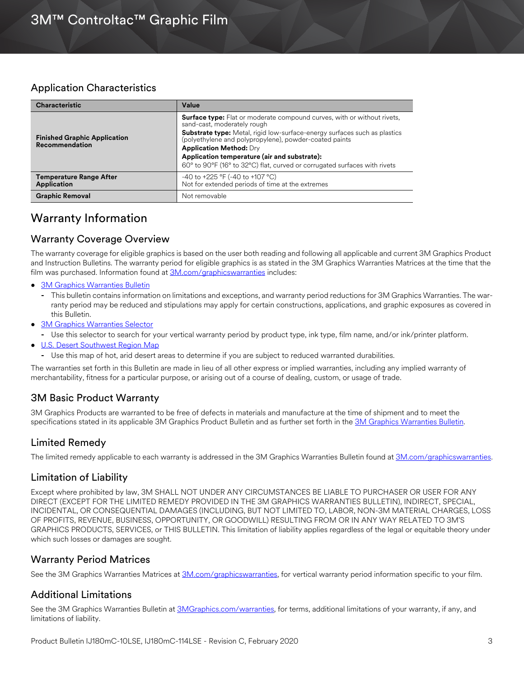## Application Characteristics

| <b>Characteristic</b>                                | Value                                                                                                                            |
|------------------------------------------------------|----------------------------------------------------------------------------------------------------------------------------------|
|                                                      | <b>Surface type:</b> Flat or moderate compound curves, with or without rivets,<br>sand-cast, moderately rough                    |
| <b>Finished Graphic Application</b>                  | Substrate type: Metal, rigid low-surface-energy surfaces such as plastics (polyethylene and polypropylene), powder-coated paints |
| Recommendation                                       | <b>Application Method: Dry</b>                                                                                                   |
|                                                      | Application temperature (air and substrate):                                                                                     |
|                                                      | 60° to 90°F (16° to 32°C) flat, curved or corrugated surfaces with rivets                                                        |
| <b>Temperature Range After</b><br><b>Application</b> | $-40$ to $+225$ °F (-40 to +107 °C)<br>Not for extended periods of time at the extremes                                          |
| <b>Graphic Removal</b>                               | Not removable                                                                                                                    |

## Warranty Information

## Warranty Coverage Overview

The warranty coverage for eligible graphics is based on the user both reading and following all applicable and current 3M Graphics Product and Instruction Bulletins. The warranty period for eligible graphics is as stated in the 3M Graphics Warranties Matrices at the time that the film was purchased. Information found at [3M.com/graphicswarranties](www.3m.com/graphicswarranties) includes:

- [3M Graphics Warranties Bulletin](http://multimedia.3m.com/mws/media/1034875O/3mtm-graphics-warranty-bulletin.pdf?fn=Warranty_Bulletin.pdf)
	- **-** This bulletin contains information on limitations and exceptions, and warranty period reductions for 3M Graphics Warranties. The warranty period may be reduced and stipulations may apply for certain constructions, applications, and graphic exposures as covered in this Bulletin.
- [3M Graphics Warranties Selector](http://solutions.3m.com/wps/portal/3M/en_US/Graphics/3Mgraphics/ToolsAndSupport/Warranties/?PC_Z7_RJH9U5230GE3E02LECFTDQ02P3000000_assetType=MMM_Article&PC_Z7_RJH9U5230GE3E02LECFTDQ02P3000000_assetId=1114269959113&PC_Z7_RJH9U5230GE3E02LECFTDQ02P3000000_univid=1114269959113#Z7_RJH9U5230GE3E02LECFTDQ02P3)
- **-** Use this selector to search for your vertical warranty period by product type, ink type, film name, and/or ink/printer platform.
- [U.S. Desert Southwest Region Map](http://multimedia.3m.com/mws/media/307873O/desert-southwest-region-defined.pdf?fn=Map_DSW.pdf)
	- **-** Use this map of hot, arid desert areas to determine if you are subject to reduced warranted durabilities.

The warranties set forth in this Bulletin are made in lieu of all other express or implied warranties, including any implied warranty of merchantability, fitness for a particular purpose, or arising out of a course of dealing, custom, or usage of trade.

## 3M Basic Product Warranty

3M Graphics Products are warranted to be free of defects in materials and manufacture at the time of shipment and to meet the specifications stated in its applicable 3M Graphics Product Bulletin and as further set forth in the [3M Graphics Warranties Bulletin.](http://multimedia.3m.com/mws/media/1034875O/3mtm-graphics-warranty-bulletin.pdf?fn=Warranty%20Bulletin.pdf)

## Limited Remedy

The limited remedy applicable to each warranty is addressed in the 3M Graphics Warranties Bulletin found at [3M.com/graphicswarranties.](www.3m.com/graphicswarranties)

#### Limitation of Liability

Except where prohibited by law, 3M SHALL NOT UNDER ANY CIRCUMSTANCES BE LIABLE TO PURCHASER OR USER FOR ANY DIRECT (EXCEPT FOR THE LIMITED REMEDY PROVIDED IN THE 3M GRAPHICS WARRANTIES BULLETIN), INDIRECT, SPECIAL, INCIDENTAL, OR CONSEQUENTIAL DAMAGES (INCLUDING, BUT NOT LIMITED TO, LABOR, NON-3M MATERIAL CHARGES, LOSS OF PROFITS, REVENUE, BUSINESS, OPPORTUNITY, OR GOODWILL) RESULTING FROM OR IN ANY WAY RELATED TO 3M'S GRAPHICS PRODUCTS, SERVICES, or THIS BULLETIN. This limitation of liability applies regardless of the legal or equitable theory under which such losses or damages are sought.

## Warranty Period Matrices

See the 3M Graphics Warranties Matrices at [3M.com/graphicswarranties](www.3m.com/graphicswarranties), for vertical warranty period information specific to your film.

#### Additional Limitations

See the 3M Graphics Warranties Bulletin at [3MGraphics.com/warranties](http://solutions.3m.com/wps/portal/3M/en_US/Graphics/3Mgraphics/ToolsandSupport/Warranties/?WT.mc_id=www.3mgraphics.com/warranties), for terms, additional limitations of your warranty, if any, and limitations of liability.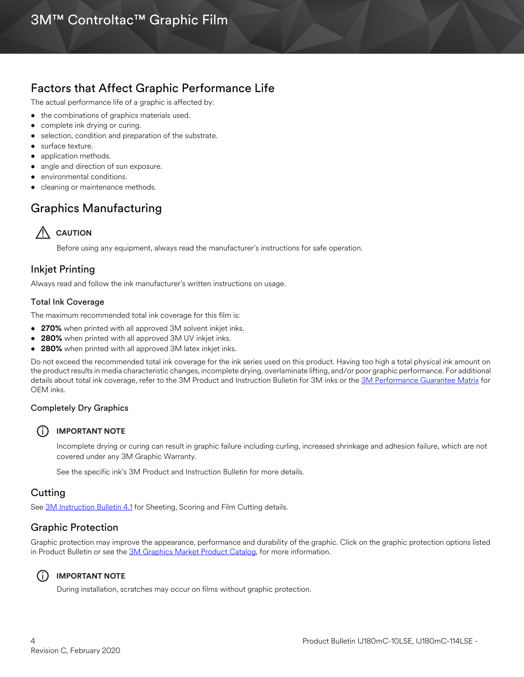## Factors that Affect Graphic Performance Life

The actual performance life of a graphic is affected by:

- the combinations of graphics materials used.
- complete ink drying or curing.
- selection, condition and preparation of the substrate.
- surface texture.
- application methods.
- angle and direction of sun exposure.
- environmental conditions.
- cleaning or maintenance methods.

# Graphics Manufacturing



Before using any equipment, always read the manufacturer's instructions for safe operation.

#### Inkjet Printing

Always read and follow the ink manufacturer's written instructions on usage.

#### Total Ink Coverage

The maximum recommended total ink coverage for this film is:

- **270%** when printed with all approved 3M solvent inkjet inks.
- **280%** when printed with all approved 3M UV inkjet inks.
- **280%** when printed with all approved 3M latex inkjet inks.

Do not exceed the recommended total ink coverage for the ink series used on this product. Having too high a total physical ink amount on the product results in media characteristic changes, incomplete drying, overlaminate lifting, and/or poor graphic performance. For additional details about total ink coverage, refer to the 3M Product and Instruction Bulletin for 3M inks or the [3M Performance Guarantee Matrix](www.3mgraphics.com/warranties) for OEM inks.

#### Completely Dry Graphics

#### i **IMPORTANT NOTE**

Incomplete drying or curing can result in graphic failure including curling, increased shrinkage and adhesion failure, which are not covered under any 3M Graphic Warranty.

See the specific ink's 3M Product and Instruction Bulletin for more details.

#### **Cutting**

See [3M Instruction Bulletin 4.1](http://multimedia.3m.com/mws/media/12586O/4-1-scoring-and-cutting.pdf) for Sheeting, Scoring and Film Cutting details.

## Graphic Protection

Graphic protection may improve the appearance, performance and durability of the graphic. Click on the graphic protection options listed in Product Bulletin or see the [3M Graphics Market Product Catalog](http://multimedia.3m.com/mws/media/443279O/inkjet-catalog-lowres.pdf), for more information.

#### i **IMPORTANT NOTE**

During installation, scratches may occur on films without graphic protection.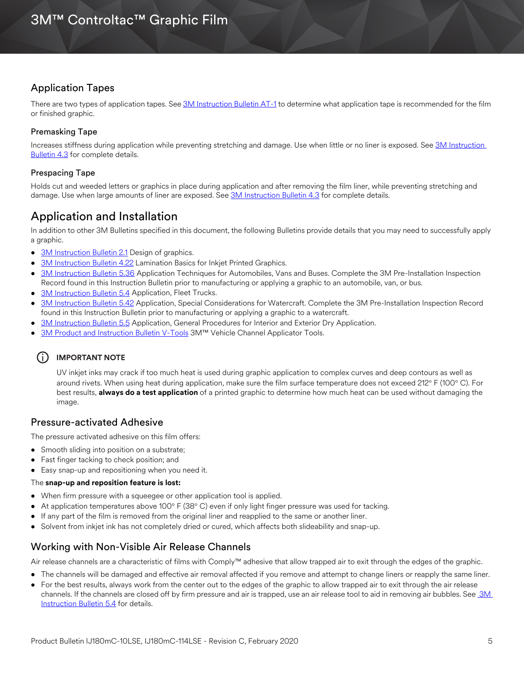## Application Tapes

There are two types of application tapes. See [3M Instruction Bulletin AT-1](http://multimedia.3m.com/mws/media/1032943O/instruction-bulletin-at-1-application-tables.pdf) to determine what application tape is recommended for the film or finished graphic.

#### Premasking Tape

Increases stiffness during application while preventing stretching and damage. Use when little or no liner is exposed. See [3M Instruction](http://multimedia.3m.com/mws/media/12587O/4-3-application-tapes-premasking-and-prespacing.pdf)  [Bulletin 4.3](http://multimedia.3m.com/mws/media/12587O/4-3-application-tapes-premasking-and-prespacing.pdf) for complete details.

#### Prespacing Tape

Holds cut and weeded letters or graphics in place during application and after removing the film liner, while preventing stretching and damage. Use when large amounts of liner are exposed. See [3M Instruction Bulletin 4.3](http://multimedia.3m.com/mws/media/12587O/4-3-application-tapes-premasking-and-prespacing.pdf) for complete details.

## Application and Installation

In addition to other 3M Bulletins specified in this document, the following Bulletins provide details that you may need to successfully apply a graphic.

- [3M Instruction Bulletin 2.1](http://multimedia.3m.com/mws/media/12591O/2-1-design-of-graphics.pdf) Design of graphics.
- [3M Instruction Bulletin 4.22](http://multimedia.3m.com/mws/media/12768O/4-22-lamination-cold-roll.pdf) Lamination Basics for Inkjet Printed Graphics.
- [3M Instruction Bulletin 5.36](http://multimedia.3m.com/mws/media/100373O/5-36-application-techniques-for-automobiles-vans-and-buses.pdf) Application Techniques for Automobiles, Vans and Buses. Complete the 3M Pre-Installation Inspection Record found in this Instruction Bulletin prior to manufacturing or applying a graphic to an automobile, van, or bus.
- [3M Instruction Bulletin 5.4](http://multimedia.3m.com/mws/media/12597O/5-4-application-of-film-to-vehicles-special-applications.pdf) Application, Fleet Trucks.
- [3M Instruction Bulletin 5.42](http://multimedia.3m.com/mws/media/503711O/application-special-considerations-for-watercraft.pdf) Application, Special Considerations for Watercraft. Complete the 3M Pre-Installation Inspection Record found in this Instruction Bulletin prior to manufacturing or applying a graphic to a watercraft.
- [3M Instruction Bulletin 5.5](https://multimedia.3m.com/mws/media/9620O/5-5-application-dry-method.pdf) Application, General Procedures for Interior and Exterior Dry Application.
- [3M Product and Instruction Bulletin V-Tools](https://multimedia.3m.com/mws/media/471744O/vehicle-channel-applicator-tools-vcat-2-roller-l-roller-s.pdf) 3M™ Vehicle Channel Applicator Tools.

## (i) **IMPORTANT NOTE**

UV inkjet inks may crack if too much heat is used during graphic application to complex curves and deep contours as well as around rivets. When using heat during application, make sure the film surface temperature does not exceed 212° F (100° C). For best results, **always do a test application** of a printed graphic to determine how much heat can be used without damaging the image.

#### Pressure-activated Adhesive

The pressure activated adhesive on this film offers:

- Smooth sliding into position on a substrate;
- Fast finger tacking to check position; and
- Easy snap-up and repositioning when you need it.

#### The **snap-up and reposition feature is lost:**

- When firm pressure with a squeegee or other application tool is applied.
- At application temperatures above 100 $\degree$  F (38 $\degree$  C) even if only light finger pressure was used for tacking.
- If any part of the film is removed from the original liner and reapplied to the same or another liner.
- Solvent from inkjet ink has not completely dried or cured, which affects both slideability and snap-up.

#### Working with Non-Visible Air Release Channels

Air release channels are a characteristic of films with Comply™ adhesive that allow trapped air to exit through the edges of the graphic.

- The channels will be damaged and effective air removal affected if you remove and attempt to change liners or reapply the same liner.
- For the best results, always work from the center out to the edges of the graphic to allow trapped air to exit through the air release channels. If the channels are closed off by firm pressure and air is trapped, use an air release tool to aid in removing air bubbles. See 3M [Instruction Bulletin 5.4](http://multimedia.3m.com/mws/media/12597O/5-4-application-of-film-to-vehicles-special-applications.pdf) for details.